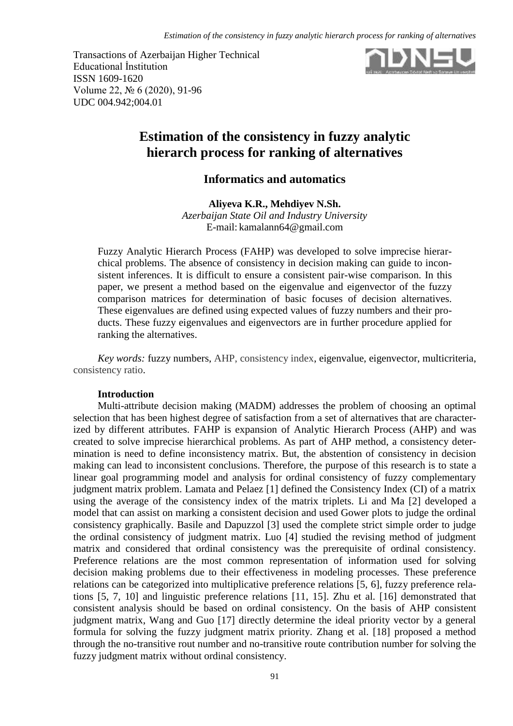Transactions of Azerbaijan Higher Technical Educational İnstitution ISSN 1609-1620 Volume 22, № 6 (2020), 91-96 UDC 004.942;004.01



# **Estimation of the consistency in fuzzy analytic hierarch process for ranking of alternatives**

## **Informatics and automatics**

**Aliyeva K.R., Mehdiyev N.Sh.**

*Azerbaijan State Oil and Industry University* E-mail: [kamalann64@gmail.com](mailto:kamalann64@gmail.com)

Fuzzy Analytic Hierarch Process (FAHP) was developed to solve imprecise hierarchical problems. The absence of consistency in decision making can guide to inconsistent inferences. It is difficult to ensure a consistent pair-wise comparison. In this paper, we present a method based on the eigenvalue and eigenvector of the fuzzy comparison matrices for determination of basic focuses of decision alternatives. These eigenvalues are defined using expected values of fuzzy numbers and their products. These fuzzy eigenvalues and eigenvectors are in further procedure applied for ranking the alternatives.

*Key words:* fuzzy numbers, AHP, consistency index, eigenvalue, eigenvector, multicriteria, consistency ratio.

## **Introduction**

Multi-attribute decision making (MADM) addresses the problem of choosing an optimal selection that has been highest degree of satisfaction from a set of alternatives that are characterized by different attributes. FAHP is expansion of Analytic Hierarch Process (AHP) and was created to solve imprecise hierarchical problems. As part of AHP method, a consistency determination is need to define inconsistency matrix. But, the abstention of consistency in decision making can lead to inconsistent conclusions. Therefore, the purpose of this research is to state a linear goal programming model and analysis for ordinal consistency of fuzzy complementary judgment matrix problem. Lamata and Pelaez [1] defined the Consistency Index (CI) of a matrix using the average of the consistency index of the matrix triplets. Li and Ma [2] developed a model that can assist on marking a consistent decision and used Gower plots to judge the ordinal consistency graphically. Basile and Dapuzzol [3] used the complete strict simple order to judge the ordinal consistency of judgment matrix. Luo [4] studied the revising method of judgment matrix and considered that ordinal consistency was the prerequisite of ordinal consistency. Preference relations are the most common representation of information used for solving decision making problems due to their effectiveness in modeling processes. These preference relations can be categorized into multiplicative preference relations [5, 6], fuzzy preference relations [5, 7, 10] and linguistic preference relations [11, 15]. Zhu et al. [16] demonstrated that consistent analysis should be based on ordinal consistency. On the basis of AHP consistent judgment matrix, Wang and Guo [17] directly determine the ideal priority vector by a general formula for solving the fuzzy judgment matrix priority. Zhang et al. [18] proposed a method through the no-transitive rout number and no-transitive route contribution number for solving the fuzzy judgment matrix without ordinal consistency.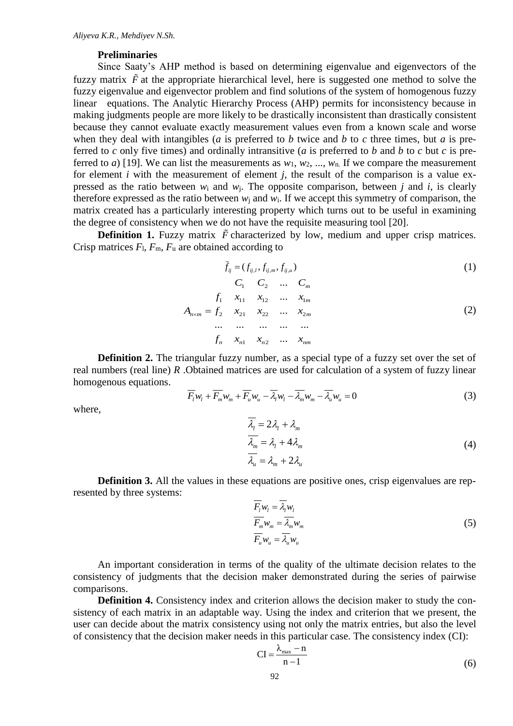### **Preliminaries**

Since Saaty's AHP method is based on determining eigenvalue and eigenvectors of the fuzzy matrix  $\tilde{F}$  at the appropriate hierarchical level, here is suggested one method to solve the fuzzy eigenvalue and eigenvector problem and find solutions of the system of homogenous fuzzy linear equations. The Analytic Hierarchy Process (AHP) permits for inconsistency because in making judgments people are more likely to be drastically inconsistent than drastically consistent because they cannot evaluate exactly measurement values even from a known scale and worse when they deal with intangibles (*a* is preferred to *b* twice and *b* to *c* three times, but *a* is preferred to *c* only five times) and ordinally intransitive (*a* is preferred to *b* and *b* to *c* but *c* is preferred to *a*) [19]. We can list the measurements as  $w_1, w_2, ..., w_n$ . If we compare the measurement for element *i* with the measurement of element *j*, the result of the comparison is a value expressed as the ratio between  $w_i$  and  $w_i$ . The opposite comparison, between *j* and *i*, is clearly therefore expressed as the ratio between  $w_i$  and  $w_i$ . If we accept this symmetry of comparison, the matrix created has a particularly interesting property which turns out to be useful in examining the degree of consistency when we do not have the requisite measuring tool [20].

**Definition 1.** Fuzzy matrix  $\tilde{F}$  characterized by low, medium and upper crisp matrices. Crisp matrices  $F_1$ ,  $F_m$ ,  $F_u$  are obtained according to

$$
\tilde{f}_{ij} = (f_{ij,l}, f_{ij,m}, f_{ij,u})
$$
\n
$$
C_1 \t C_2 \t ... \t C_m
$$
\n
$$
A_{n \times m} = f_2 \t x_{21} \t x_{22} \t ... \t x_{2m}
$$
\n
$$
f_n \t x_{n1} \t x_{n2} \t ... \t ...
$$
\n
$$
f_n \t x_{n1} \t x_{n2} \t ... \t x_{nm}
$$
\n(2)

**Definition 2.** The triangular fuzzy number, as a special type of a fuzzy set over the set of real numbers (real line) *R* .Obtained matrices are used for calculation of a system of fuzzy linear homogenous equations.

$$
\overline{F}_l w_l + \overline{F}_m w_m + \overline{F}_u w_u - \overline{\lambda}_l w_l - \overline{\lambda}_m w_m - \overline{\lambda}_u w_u = 0
$$
\n(3)

where,

$$
\overline{\lambda_i} = 2\lambda_i + \lambda_m
$$
  
\n
$$
\overline{\lambda_m} = \lambda_i + 4\lambda_m
$$
  
\n
$$
\overline{\lambda_u} = \lambda_m + 2\lambda_u
$$
\n(4)

**Definition 3.** All the values in these equations are positive ones, crisp eigenvalues are represented by three systems:

$$
\overline{F_i} w_l = \overline{\lambda_l} w_l
$$
\n
$$
\overline{F_m} w_m = \overline{\lambda_m} w_m
$$
\n
$$
\overline{F_u} w_u = \overline{\lambda_u} w_u
$$
\n(5)

An important consideration in terms of the quality of the ultimate decision relates to the consistency of judgments that the decision maker demonstrated during the series of pairwise comparisons.

**Definition 4.** Consistency index and criterion allows the decision maker to study the consistency of each matrix in an adaptable way. Using the index and criterion that we present, the user can decide about the matrix consistency using not only the matrix entries, but also the level of consistency that the decision maker needs in this particular case. The consistency index (CI):

$$
CI = \frac{\lambda_{\text{max}} - n}{n - 1}
$$
 (6)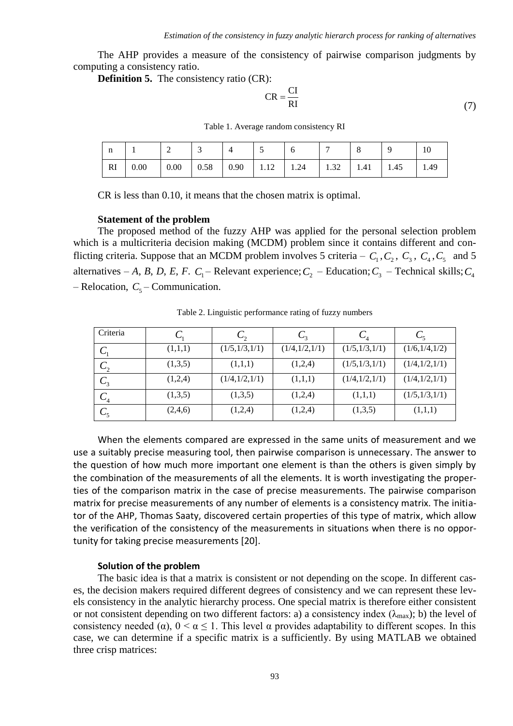The AHP provides a measure of the consistency of pairwise comparison judgments by computing a consistency ratio.

**Definition 5.** The consistency ratio (CR):

$$
CR = \frac{CI}{RI}
$$
 (7)

Table 1. Average random consistency RI

| n  |      | ∼        | ້    |                                                                            |                          |  |      |      |
|----|------|----------|------|----------------------------------------------------------------------------|--------------------------|--|------|------|
| RI | 0.00 | $0.00\,$ | 0.58 | $\begin{array}{ c c c c c c c c } \hline 0.90 & 1.12 \\\hline \end{array}$ | $1.24$   $1.32$   $1.41$ |  | 1.45 | 1.49 |

CR is less than 0.10, it means that the chosen matrix is optimal.

#### **Statement of the problem**

The proposed method of the fuzzy AHP was applied for the personal selection problem which is a multicriteria decision making (MCDM) problem since it contains different and conflicting criteria. Suppose that an MCDM problem involves 5 criteria –  $C_1$ ,  $C_2$ ,  $C_3$ ,  $C_4$ ,  $C_5$  and 5 alternatives – *A*, *B*, *D*, *E*, *F*. *C*<sub>1</sub> – Relevant experience; *C*<sub>2</sub> – Education; *C*<sub>3</sub> – Technical skills; *C*<sub>4</sub>  $-$  Relocation,  $C_5$  – Communication.

| Criteria             |         | しっ              |               | $\mathsf{L}_4$  |                 |
|----------------------|---------|-----------------|---------------|-----------------|-----------------|
| $\mathcal{C}^{}_{1}$ | (1,1,1) | (1/5, 1/3, 1/1) | (1/4,1/2,1/1) | (1/5, 1/3, 1/1) | (1/6,1/4,1/2)   |
| C <sub>2</sub>       | (1,3,5) | (1,1,1)         | (1,2,4)       | (1/5, 1/3, 1/1) | (1/4,1/2,1/1)   |
| $C_{3}$              | (1,2,4) | (1/4, 1/2, 1/1) | (1,1,1)       | (1/4,1/2,1/1)   | (1/4,1/2,1/1)   |
| $C_4$                | (1,3,5) | (1,3,5)         | (1,2,4)       | (1,1,1)         | (1/5, 1/3, 1/1) |
| $C_5$                | (2,4,6) | (1,2,4)         | (1,2,4)       | (1,3,5)         | (1,1,1)         |

Table 2. Linguistic performance rating of fuzzy numbers

When the elements compared are expressed in the same units of measurement and we use a suitably precise measuring tool, then pairwise comparison is unnecessary. The answer to the question of how much more important one element is than the others is given simply by the combination of the measurements of all the elements. It is worth investigating the properties of the comparison matrix in the case of precise measurements. The pairwise comparison matrix for precise measurements of any number of elements is a consistency matrix. The initiator of the AHP, Thomas Saaty, discovered certain properties of this type of matrix, which allow the verification of the consistency of the measurements in situations when there is no opportunity for taking precise measurements [20].

#### **Solution of the problem**

The basic idea is that a matrix is consistent or not depending on the scope. In different cases, the decision makers required different degrees of consistency and we can represent these levels consistency in the analytic hierarchy process. One special matrix is therefore either consistent or not consistent depending on two different factors: a) a consistency index ( $\lambda_{\text{max}}$ ); b) the level of consistency needed ( $\alpha$ ),  $0 \le \alpha \le 1$ . This level  $\alpha$  provides adaptability to different scopes. In this case, we can determine if a specific matrix is a sufficiently. By using MATLAB we obtained three crisp matrices: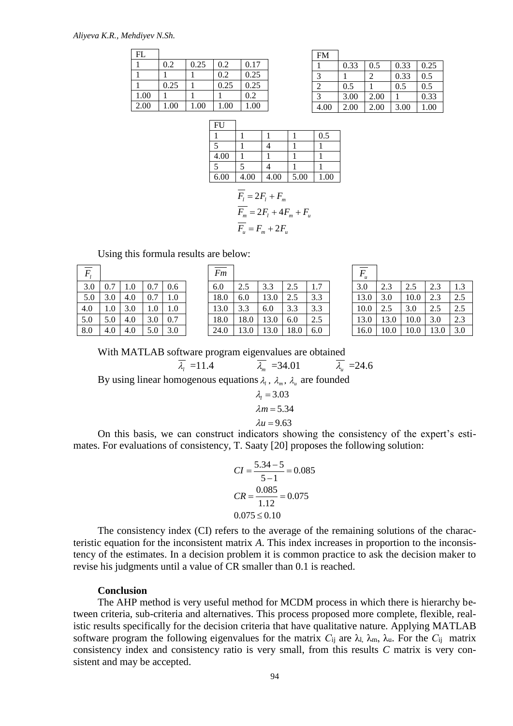#### *Aliyeva K.R., Mehdiyev N.Sh.*

| FL   |      |      |      |      |
|------|------|------|------|------|
|      | 0.2  | 0.25 | 0.2  | 0.17 |
|      |      |      | 0.2  | 0.25 |
|      | 0.25 |      | 0.25 | 0.25 |
| 1.00 |      |      |      | 0.2  |
| 2.00 | 1.00 | 1.00 | 1.00 | 1.00 |

| <b>FM</b>                   |      |      |      |          |
|-----------------------------|------|------|------|----------|
|                             | 0.33 | 0.5  | 0.33 | 0.25     |
| 3                           |      | 2    | 0.33 | 0.5      |
| $\mathcal{D}_{\mathcal{L}}$ | 0.5  |      | 0.5  | 0.5      |
| 3                           | 3.00 | 2.00 |      | 0.33     |
| 4.00                        | 2.00 | 2.00 | 3.00 | $1.00\,$ |

| FU   |      |      |      |      |
|------|------|------|------|------|
|      |      |      |      | 0.5  |
|      |      |      |      |      |
| 4.00 |      |      |      |      |
|      |      |      |      |      |
| 6.00 | 4.00 | 4.00 | 5.00 | 1.00 |

$$
\overline{F_t} = 2F_t + F_m
$$
  
\n
$$
\overline{F_m} = 2F_t + 4F_m + F_u
$$
  
\n
$$
\overline{F_u} = F_m + 2F_u
$$

Using this formula results are below:

| $F_{i}$ |     |     |     |     |
|---------|-----|-----|-----|-----|
| 3.0     | 0.7 | 1.0 | 0.7 | 0.6 |
| 5.0     | 3.0 | 4.0 | 0.7 | 1.0 |
| 4.0     | 1.0 | 3.0 | 1.0 | 1.0 |
| 5.0     | 5.0 | 4.0 | 3.0 | 0.7 |
| 8.0     | 4.0 | 4.0 | 5.0 | 3.0 |

| $\overline{F}$ |     |     |     |     | Fm   |      |      |      |     | $\mathfrak u$ |      |      |     |     |
|----------------|-----|-----|-----|-----|------|------|------|------|-----|---------------|------|------|-----|-----|
| 3.0            | 0.7 |     | 0.7 | 0.6 | 6.0  | 2.5  | 3.3  | 2.5  | 1.7 | 3.0           | 2.3  | 2.5  | 2.3 | 1.3 |
| 5.0            | 3.0 | 4.0 | 0.7 | 1.0 | 18.0 | 6.0  | 13.0 | 2.5  | 3.3 | 13.0          | 3.0  | 10.0 | 2.3 | 2.5 |
| 4.0            | 1.0 | 3.0 | 1.0 | 1.0 | 13.0 | 3.3  | 6.0  | 3.3  | 3.3 | 10.0          | 2.5  | 3.0  | 2.5 | 2.5 |
| 5.0            | 5.0 | 4.0 | 3.0 | 0.7 | 18.0 | 18.0 | 13.0 | 6.0  | 2.5 | 13.0          | 13.0 | 10.0 | 3.0 | 2.3 |
| 8.0            | 4.0 | 4.0 | 5.0 | 3.0 | 24.0 | 13.0 | 13.0 | 18.0 | 6.0 | 16.0          | 10.0 | 10.0 | 3.0 | 3.0 |

| $\overline{F}$ |     |     |     |         |  |      |      |      |      |     |  |      | F<br>u |      |      |     |  |  |
|----------------|-----|-----|-----|---------|--|------|------|------|------|-----|--|------|--------|------|------|-----|--|--|
| 3.0            | 0.7 | 1.0 | 0.7 | 0.6     |  | 6.0  | 2.5  | 3.3  | 2.5  | 1.7 |  | 3.0  | 2.3    | 2.5  | 2.3  | 1.3 |  |  |
| 5.0            |     | 4.0 | 0.7 | 1.0     |  | 18.0 | 6.0  | 13.0 | 2.5  | 3.3 |  | 13.0 | 3.0    | 10.0 | 2.3  | 2.5 |  |  |
| 4.0            | 1.0 | 3.0 | 1.0 | $1.0\,$ |  | 13.0 | 3.3  | 6.0  | 3.3  | 3.3 |  | 10.0 | 2.5    | 3.0  | 2.5  | 2.5 |  |  |
| 5.0            | 5.0 | 4.0 | 3.0 | 0.7     |  | 18.0 | 18.0 | 13.0 | 6.0  | 2.5 |  | 13.0 | 13.0   | 10.0 | 3.0  | 2.3 |  |  |
| 8.0            | 4.0 | 4.0 | 5.0 | 3.0     |  | 24.0 | 13.0 | 13.0 | 18.0 | 6.0 |  | 16.0 | 10.0   | 10.0 | 13.0 | 3.0 |  |  |

With MATLAB software program eigenvalues are obtained

$$
\overline{\lambda}_{\scriptscriptstyle \rm I} = 11.4 \qquad \qquad \overline{\lambda}_{\scriptscriptstyle \rm m} = 34.01 \qquad \qquad \overline{\lambda}_{\scriptscriptstyle \rm u} = 24.6
$$

By using linear homogenous equations  $\lambda_1$ ,  $\lambda_m$ ,  $\lambda_u$  are founded

$$
\lambda_1 = 3.03
$$
  

$$
\lambda m = 5.34
$$
  

$$
\lambda u = 9.63
$$

On this basis, we can construct indicators showing the consistency of the expert's estimates. For evaluations of consistency, T. Saaty [20] proposes the following solution:

$$
CI = \frac{5.34 - 5}{5 - 1} = 0.085
$$
  

$$
CR = \frac{0.085}{1.12} = 0.075
$$
  
0.075 ≤ 0.10

The consistency index (CI) refers to the average of the remaining solutions of the characteristic equation for the inconsistent matrix *A*. This index increases in proportion to the inconsistency of the estimates. In a decision problem it is common practice to ask the decision maker to revise his judgments until a value of CR smaller than 0.1 is reached.

### **Conclusion**

The AHP method is very useful method for MCDM process in which there is hierarchy between criteria, sub-criteria and alternatives. This process proposed more complete, flexible, realistic results specifically for the decision criteria that have qualitative nature. Applying MATLAB software program the following eigenvalues for the matrix  $C_{ij}$  are  $\lambda_{l}$ ,  $\lambda_{m}$ ,  $\lambda_{u}$ . For the  $C_{ij}$  matrix consistency index and consistency ratio is very small, from this results *C* matrix is very consistent and may be accepted.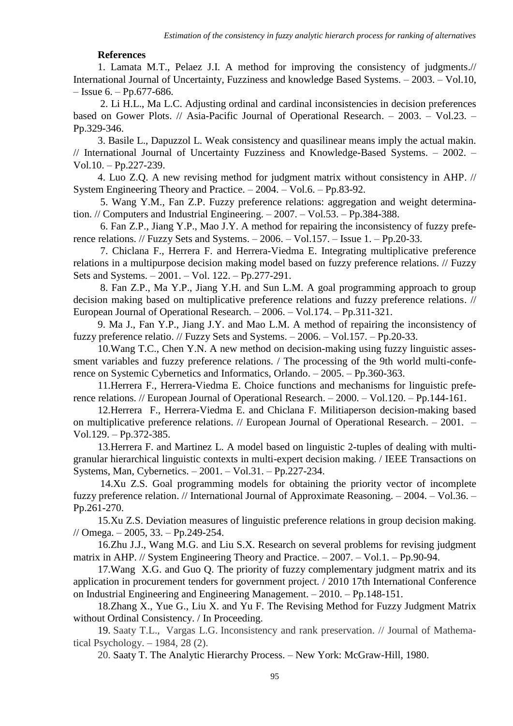## **References**

1. Lamata M.T., Pelaez J.I. A method for improving the consistency of judgments.// International Journal of Uncertainty, Fuzziness and knowledge Based Systems. – 2003. – Vol.10,  $-$  Issue 6. – Pp.677-686.

2. Li H.L., Ma L.C. Adjusting ordinal and cardinal inconsistencies in decision preferences based on Gower Plots. // Asia-Pacific Journal of Operational Research. – 2003. – Vol.23. – Pp.329-346.

3. Basile L., Dapuzzol L. Weak consistency and quasilinear means imply the actual makin. // International Journal of Uncertainty Fuzziness and Knowledge-Based Systems. – 2002. – Vol.10. – Pp.227-239.

4. Luo Z.Q. A new revising method for judgment matrix without consistency in AHP. // System Engineering Theory and Practice. – 2004. – Vol.6. – Pp.83-92.

5. Wang Y.M., Fan Z.P. Fuzzy preference relations: aggregation and weight determination. // Computers and Industrial Engineering. – 2007. – Vol.53. – Pp.384-388.

6. Fan Z.P., Jiang Y.P., Mao J.Y. A method for repairing the inconsistency of fuzzy preference relations. // Fuzzy Sets and Systems. – 2006. – Vol.157. – Issue 1. – Pp.20-33.

7. Chiclana F., Herrera F. and Herrera-Viedma E. Integrating multiplicative preference relations in a multipurpose decision making model based on fuzzy preference relations. // Fuzzy Sets and Systems. – 2001. – Vol. 122. – Pp.277-291.

8. Fan Z.P., Ma Y.P., Jiang Y.H. and Sun L.M. A goal programming approach to group decision making based on multiplicative preference relations and fuzzy preference relations. // European Journal of Operational Research. – 2006. – Vol.174. – Pp.311-321.

9. Ma J., Fan Y.P., Jiang J.Y. and Mao L.M. A method of repairing the inconsistency of fuzzy preference relatio. // Fuzzy Sets and Systems. – 2006. – Vol.157. – Pp.20-33.

10.Wang T.C., Chen Y.N. A new method on decision-making using fuzzy linguistic assessment variables and fuzzy preference relations. / The processing of the 9th world multi-conference on Systemic Cybernetics and Informatics, Orlando. – 2005. – Pp.360-363.

11.Herrera F., Herrera-Viedma E. Choice functions and mechanisms for linguistic preference relations. // European Journal of Operational Research. – 2000. – Vol.120. – Pp.144-161.

12.Herrera F., Herrera-Viedma E. and Chiclana F. Militiaperson decision-making based on multiplicative preference relations. // European Journal of Operational Research. – 2001. – Vol.129. – Pp.372-385.

13.Herrera F. and Martinez L. A model based on linguistic 2-tuples of dealing with multigranular hierarchical linguistic contexts in multi-expert decision making. / IEEE Transactions on Systems, Man, Cybernetics. – 2001. – Vol.31. – Pp.227-234.

14.Xu Z.S. Goal programming models for obtaining the priority vector of incomplete fuzzy preference relation. // International Journal of Approximate Reasoning. – 2004. – Vol.36. – Pp.261-270.

15.Xu Z.S. Deviation measures of linguistic preference relations in group decision making. // Omega. – 2005, 33. – Pp.249-254.

16.Zhu J.J., Wang M.G. and Liu S.X. Research on several problems for revising judgment matrix in AHP. // System Engineering Theory and Practice. – 2007. – Vol.1. – Pp.90-94.

17.Wang X.G. and Guo Q. The priority of fuzzy complementary judgment matrix and its application in procurement tenders for government project. / 2010 17th International Conference on Industrial Engineering and Engineering Management. – 2010. – Pp.148-151.

18.Zhang X., Yue G., Liu X. and Yu F. The Revising Method for Fuzzy Judgment Matrix without Ordinal Consistency. / In Proceeding.

19. Saaty T.L., Vargas L.G. Inconsistency and rank preservation. // Journal of Mathematical Psychology. – 1984, 28 (2).

20. Saaty T. The Analytic Hierarchy Process. – New York: McGraw-Hill, 1980.